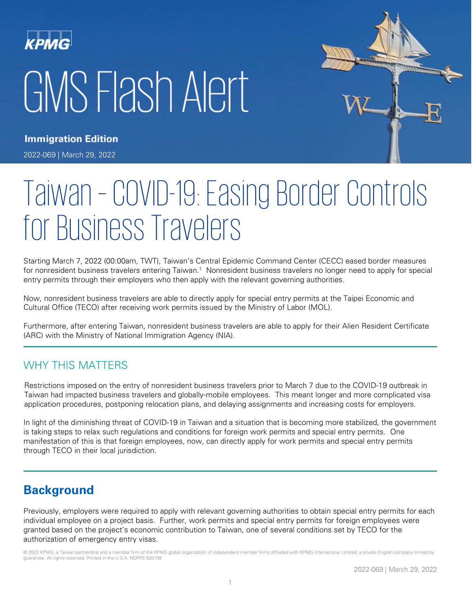# GMS Flash Alert



**Immigration Edition** 

2022-069 | March 29, 2022

# Taiwan – COVID-19: Easing Border Controls for Business Travelers

Starting March 7, 2022 (00:00am, TWT), Taiwan's Central Epidemic Command Center (CECC) eased border measures for nonresident business travelers entering Taiwan.<sup>1</sup> Nonresident business travelers no longer need to apply for special entry permits through their employers who then apply with the relevant governing authorities.

Now, nonresident business travelers are able to directly apply for special entry permits at the Taipei Economic and Cultural Office (TECO) after receiving work permits issued by the Ministry of Labor (MOL).

Furthermore, after entering Taiwan, nonresident business travelers are able to apply for their Alien Resident Certificate (ARC) with the Ministry of National Immigration Agency (NIA).

### WHY THIS MATTERS

Restrictions imposed on the entry of nonresident business travelers prior to March 7 due to the COVID-19 outbreak in Taiwan had impacted business travelers and globally-mobile employees. This meant longer and more complicated visa application procedures, postponing relocation plans, and delaying assignments and increasing costs for employers.

In light of the diminishing threat of COVID-19 in Taiwan and a situation that is becoming more stabilized, the government is taking steps to relax such regulations and conditions for foreign work permits and special entry permits. One manifestation of this is that foreign employees, now, can directly apply for work permits and special entry permits through TECO in their local jurisdiction.

# **Background**

Previously, employers were required to apply with relevant governing authorities to obtain special entry permits for each individual employee on a project basis. Further, work permits and special entry permits for foreign employees were granted based on the project's economic contribution to Taiwan, one of several conditions set by TECO for the authorization of emergency entry visas.

© 2022 KPMG, a Taiwan partnership and a member firm of the KPMG global organization of independent member firms affiliated with KPMG International Limited, a private English company limited by guarantee. All rights reserved. Printed in the U.S.A. NDPPS 530159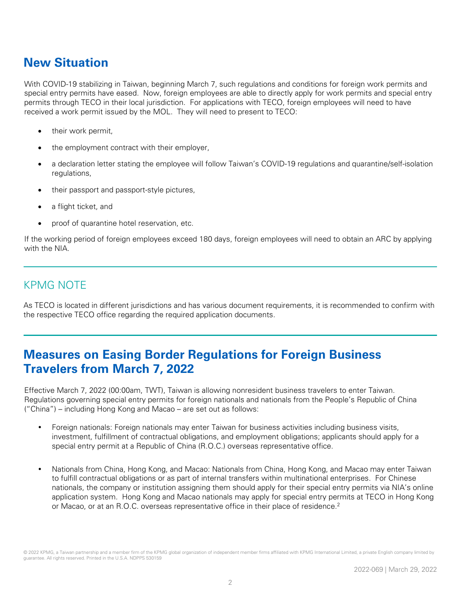# **New Situation**

With COVID-19 stabilizing in Taiwan, beginning March 7, such regulations and conditions for foreign work permits and special entry permits have eased. Now, foreign employees are able to directly apply for work permits and special entry permits through TECO in their local jurisdiction. For applications with TECO, foreign employees will need to have received a work permit issued by the MOL. They will need to present to TECO:

- their work permit,
- the employment contract with their employer,
- a declaration letter stating the employee will follow Taiwan's COVID-19 regulations and quarantine/self-isolation regulations,
- their passport and passport-style pictures,
- a flight ticket, and
- proof of quarantine hotel reservation, etc.

If the working period of foreign employees exceed 180 days, foreign employees will need to obtain an ARC by applying with the NIA.

#### KPMG NOTE

As TECO is located in different jurisdictions and has various document requirements, it is recommended to confirm with the respective TECO office regarding the required application documents.

# **Measures on Easing Border Regulations for Foreign Business Travelers from March 7, 2022**

Effective March 7, 2022 (00:00am, TWT), Taiwan is allowing nonresident business travelers to enter Taiwan. Regulations governing special entry permits for foreign nationals and nationals from the People's Republic of China ("China") – including Hong Kong and Macao – are set out as follows:

- Foreign nationals: Foreign nationals may enter Taiwan for business activities including business visits, investment, fulfillment of contractual obligations, and employment obligations; applicants should apply for a special entry permit at a Republic of China (R.O.C.) overseas representative office.
- Nationals from China, Hong Kong, and Macao: Nationals from China, Hong Kong, and Macao may enter Taiwan to fulfill contractual obligations or as part of internal transfers within multinational enterprises. For Chinese nationals, the company or institution assigning them should apply for their special entry permits via NIA's online application system. Hong Kong and Macao nationals may apply for special entry permits at TECO in Hong Kong or Macao, or at an R.O.C. overseas representative office in their place of residence.<sup>2</sup>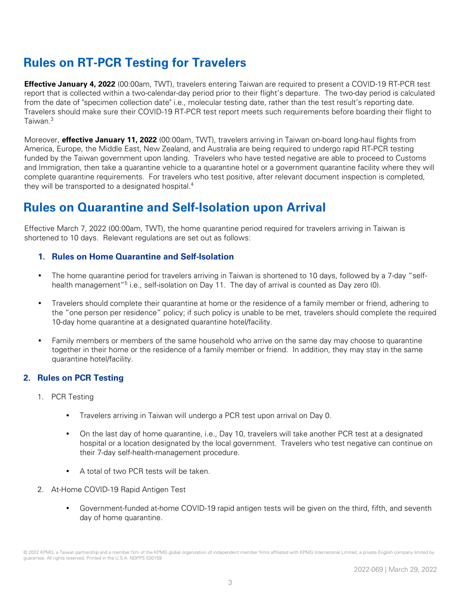# **Rules on RT-PCR Testing for Travelers**

**Effective January 4, 2022** (00:00am, TWT), travelers entering Taiwan are required to present a COVID-19 RT-PCR test report that is collected within a two-calendar-day period prior to their flight's departure. The two-day period is calculated from the date of "specimen collection date" i.e., molecular testing date, rather than the test result's reporting date. Travelers should make sure their COVID-19 RT-PCR test report meets such requirements before boarding their flight to Taiwan<sup>3</sup>

Moreover, **effective January 11, 2022** (00:00am, TWT), travelers arriving in Taiwan on-board long-haul flights from America, Europe, the Middle East, New Zealand, and Australia are being required to undergo rapid RT-PCR testing funded by the Taiwan government upon landing. Travelers who have tested negative are able to proceed to Customs and Immigration, then take a quarantine vehicle to a quarantine hotel or a government quarantine facility where they will complete quarantine requirements. For travelers who test positive, after relevant document inspection is completed, they will be transported to a designated hospital.<sup>4</sup>

# **Rules on Quarantine and Self-Isolation upon Arrival**

Effective March 7, 2022 (00:00am, TWT), the home quarantine period required for travelers arriving in Taiwan is shortened to 10 days. Relevant regulations are set out as follows:

#### **1. Rules on Home Quarantine and Self-Isolation**

- The home quarantine period for travelers arriving in Taiwan is shortened to 10 days, followed by a 7-day "selfhealth management<sup>"5</sup> i.e., self-isolation on Day 11. The day of arrival is counted as Day zero (0).
- Travelers should complete their quarantine at home or the residence of a family member or friend, adhering to the "one person per residence" policy; if such policy is unable to be met, travelers should complete the required 10-day home quarantine at a designated quarantine hotel/facility.
- Family members or members of the same household who arrive on the same day may choose to quarantine together in their home or the residence of a family member or friend. In addition, they may stay in the same quarantine hotel/facility.

#### **2. Rules on PCR Testing**

- 1. PCR Testing
	- Travelers arriving in Taiwan will undergo a PCR test upon arrival on Day 0.
	- On the last day of home quarantine, i.e., Day 10, travelers will take another PCR test at a designated hospital or a location designated by the local government. Travelers who test negative can continue on their 7-day self-health-management procedure.
	- A total of two PCR tests will be taken.
- 2. At-Home COVID-19 Rapid Antigen Test
	- Government-funded at-home COVID-19 rapid antigen tests will be given on the third, fifth, and seventh day of home quarantine.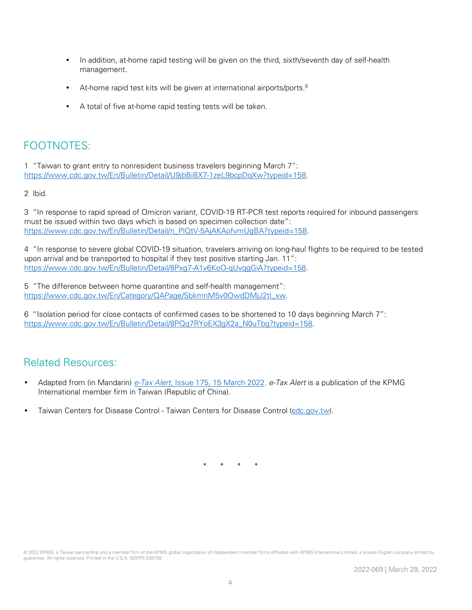- In addition, at-home rapid testing will be given on the third, sixth/seventh day of self-health management.
- At-home rapid test kits will be given at international airports/ports.<sup>6</sup>
- A total of five at-home rapid testing tests will be taken.

## FOOTNOTES:

1 "Taiwan to grant entry to nonresident business travelers beginning March 7": [https://www.cdc.gov.tw/En/Bulletin/Detail/U9jbBiBX7-1zeL9bcpDqXw?typeid=158.](https://www.cdc.gov.tw/En/Bulletin/Detail/U9jbBiBX7-1zeL9bcpDqXw?typeid=158)

2 Ibid.

3 "In response to rapid spread of Omicron variant, COVID-19 RT-PCR test reports required for inbound passengers must be issued within two days which is based on specimen collection date": [https://www.cdc.gov.tw/En/Bulletin/Detail/n\\_PlQtV-5AjAKAofvmUgBA?typeid=158.](https://www.cdc.gov.tw/En/Bulletin/Detail/n_PlQtV-5AjAKAofvmUgBA?typeid=158)

4 "In response to severe global COVID-19 situation, travelers arriving on long-haul flights to be required to be tested upon arrival and be transported to hospital if they test positive starting Jan. 11": [https://www.cdc.gov.tw/En/Bulletin/Detail/8Pxg7-A1v6KoO-qUvqgGiA?typeid=158.](https://www.cdc.gov.tw/En/Bulletin/Detail/8Pxg7-A1v6KoO-qUvqgGiA?typeid=158)

5 "The difference between home quarantine and self-health management": [https://www.cdc.gov.tw/En/Category/QAPage/SbkmnM5v0OwdDMjJ2tI\\_xw.](https://www.cdc.gov.tw/En/Category/QAPage/SbkmnM5v0OwdDMjJ2tI_xw)

6 "Isolation period for close contacts of confirmed cases to be shortened to 10 days beginning March 7": [https://www.cdc.gov.tw/En/Bulletin/Detail/8PQq7RYoEX3gX2a\\_N0uTbg?typeid=158.](https://www.cdc.gov.tw/En/Bulletin/Detail/8PQq7RYoEX3gX2a_N0uTbg?typeid=158)

#### Related Resources:

- Adapted from (in Mandarin) e-Tax Alert[, Issue 175, 15 March 2022.](https://home.kpmg/tw/zh/home/insights/2022/03/e-tax-alert-175.html) e-Tax Alert is a publication of the KPMG International member firm in Taiwan (Republic of China).
- Taiwan Centers for Disease Control [Taiwan Centers for Disease Control \(](https://www.cdc.gov.tw/En)cdc.gov.tw).

\* \* \* \*

<sup>© 2022</sup> KPMG, a Taiwan partnership and a member firm of the KPMG global organization of independent member firms affiliated with KPMG International Limited, a private English company limited by guarantee. All rights reserved. Printed in the U.S.A. NDPPS 530159